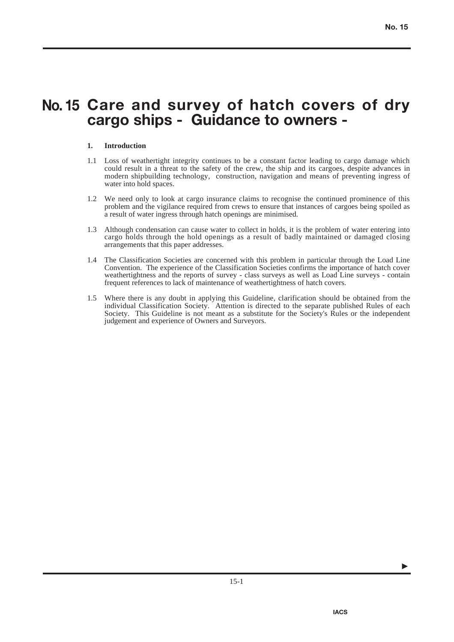# **Care and survey of hatch covers of dry No. 15 cargo ships - Guidance to owners -**

### **1. Introduction**

- 1.1 Loss of weathertight integrity continues to be a constant factor leading to cargo damage which could result in a threat to the safety of the crew, the ship and its cargoes, despite advances in modern shipbuilding technology, construction, navigation and means of preventing ingress of water into hold spaces.
- 1.2 We need only to look at cargo insurance claims to recognise the continued prominence of this problem and the vigilance required from crews to ensure that instances of cargoes being spoiled as a result of water ingress through hatch openings are minimised.
- 1.3 Although condensation can cause water to collect in holds, it is the problem of water entering into cargo holds through the hold openings as a result of badly maintained or damaged closing arrangements that this paper addresses.
- 1.4 The Classification Societies are concerned with this problem in particular through the Load Line Convention. The experience of the Classification Societies confirms the importance of hatch cover weathertightness and the reports of survey - class surveys as well as Load Line surveys - contain frequent references to lack of maintenance of weathertightness of hatch covers.
- 1.5 Where there is any doubt in applying this Guideline, clarification should be obtained from the individual Classification Society. Attention is directed to the separate published Rules of each Society. This Guideline is not meant as a substitute for the Society's Rules or the independent judgement and experience of Owners and Surveyors.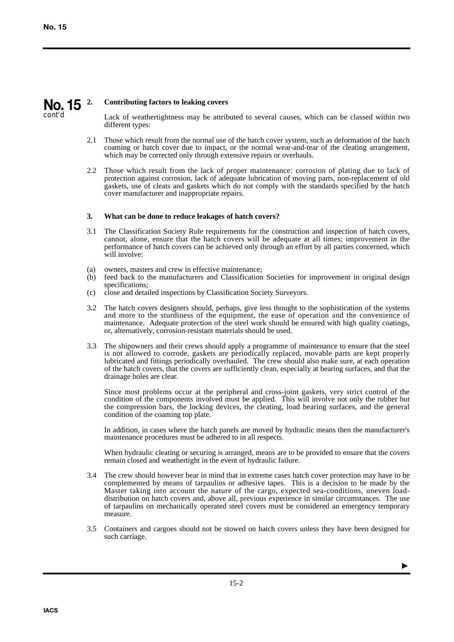#### **2. Contributing factors to leaking covers No. 15** cont'd

Lack of weathertightness may be attributed to several causes, which can be classed within two different types:

- 2.1 Those which result from the normal use of the hatch cover system, such as deformation of the hatch coaming or hatch cover due to impact, or the normal wear-and-tear of the cleating arrangement, which may be corrected only through extensive repairs or overhauls.
- 2.2 Those which result from the lack of proper maintenance: corrosion of plating due to lack of protection against corrosion, lack of adequate lubrication of moving parts, non-replacement of old gaskets, use of cleats and gaskets which do not comply with the standards specified by the hatch cover manufacturer and inappropriate repairs.

### **3. What can be done to reduce leakages of hatch covers?**

- 3.1 The Classification Society Rule requirements for the construction and inspection of hatch covers, cannot, alone, ensure that the hatch covers will be adequate at all times; improvement in the performance of hatch covers can be achieved only through an effort by all parties concerned, which will involve:
- (a) owners, masters and crew in effective maintenance;
- (b) feed back to the manufacturers and Classification Societies for improvement in original design specifications;
- (c) close and detailed inspections by Classification Society Surveyors.
- 3.2 The hatch covers designers should, perhaps, give less thought to the sophistication of the systems and more to the sturdiness of the equipment, the ease of operation and the convenience of maintenance. Adequate protection of the steel work should be ensured with high quality coatings, or, alternatively, corrosion-resistant materials should be used.
- 3.3 The shipowners and their crews should apply a programme of maintenance to ensure that the steel is not allowed to corrode, gaskets are periodically replaced, movable parts are kept properly lubricated and fittings periodically overhauled. The crew should also make sure, at each operation of the hatch covers, that the covers are sufficiently clean, especially at bearing surfaces, and that the drainage holes are clear.

Since most problems occur at the peripheral and cross-joint gaskets, very strict control of the condition of the components involved must be applied. This will involve not only the rubber but the compression bars, the locking devices, the cleating, load bearing surfaces, and the general condition of the coaming top plate.

In addition, in cases where the hatch panels are moved by hydraulic means then the manufacturer's maintenance procedures must be adhered to in all respects.

When hydraulic cleating or securing is arranged, means are to be provided to ensure that the covers remain closed and weathertight in the event of hydraulic failure.

- 3.4 The crew should however bear in mind that in extreme cases hatch cover protection may have to be complemented by means of tarpaulins or adhesive tapes. This is a decision to be made by the Master taking into account the nature of the cargo, expected sea-conditions, uneven loaddistribution on hatch covers and, above all, previous experience in similar circumstances. The use of tarpaulins on mechanically operated steel covers must be considered an emergency temporary measure.
- 3.5 Containers and cargoes should not be stowed on hatch covers unless they have been designed for such carriage.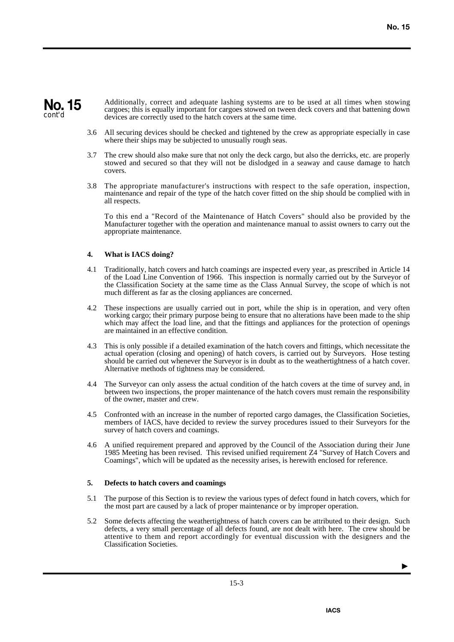### **No. 15** cont'd

Additionally, correct and adequate lashing systems are to be used at all times when stowing cargoes; this is equally important for cargoes stowed on tween deck covers and that battening down devices are correctly used to the hatch covers at the same time.

- 3.6 All securing devices should be checked and tightened by the crew as appropriate especially in case where their ships may be subjected to unusually rough seas.
- 3.7 The crew should also make sure that not only the deck cargo, but also the derricks, etc. are properly stowed and secured so that they will not be dislodged in a seaway and cause damage to hatch covers.
- 3.8 The appropriate manufacturer's instructions with respect to the safe operation, inspection, maintenance and repair of the type of the hatch cover fitted on the ship should be complied with in all respects.

To this end a "Record of the Maintenance of Hatch Covers" should also be provided by the Manufacturer together with the operation and maintenance manual to assist owners to carry out the appropriate maintenance.

### **4. What is IACS doing?**

- 4.1 Traditionally, hatch covers and hatch coamings are inspected every year, as prescribed in Article 14 of the Load Line Convention of 1966. This inspection is normally carried out by the Surveyor of the Classification Society at the same time as the Class Annual Survey, the scope of which is not much different as far as the closing appliances are concerned.
- 4.2 These inspections are usually carried out in port, while the ship is in operation, and very often working cargo; their primary purpose being to ensure that no alterations have been made to the ship which may affect the load line, and that the fittings and appliances for the protection of openings are maintained in an effective condition.
- 4.3 This is only possible if a detailed examination of the hatch covers and fittings, which necessitate the actual operation (closing and opening) of hatch covers, is carried out by Surveyors. Hose testing should be carried out whenever the Surveyor is in doubt as to the weathertightness of a hatch cover. Alternative methods of tightness may be considered.
- 4.4 The Surveyor can only assess the actual condition of the hatch covers at the time of survey and, in between two inspections, the proper maintenance of the hatch covers must remain the responsibility of the owner, master and crew.
- 4.5 Confronted with an increase in the number of reported cargo damages, the Classification Societies, members of IACS, have decided to review the survey procedures issued to their Surveyors for the survey of hatch covers and coamings.
- 4.6 A unified requirement prepared and approved by the Council of the Association during their June 1985 Meeting has been revised. This revised unified requirement Z4 "Survey of Hatch Covers and Coamings", which will be updated as the necessity arises, is herewith enclosed for reference.

#### **5. Defects to hatch covers and coamings**

- 5.1 The purpose of this Section is to review the various types of defect found in hatch covers, which for the most part are caused by a lack of proper maintenance or by improper operation.
- 5.2 Some defects affecting the weathertightness of hatch covers can be attributed to their design. Such defects, a very small percentage of all defects found, are not dealt with here. The crew should be attentive to them and report accordingly for eventual discussion with the designers and the Classification Societies.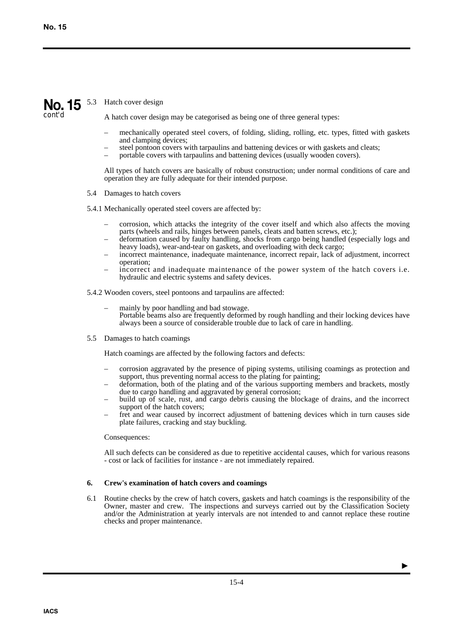# No. 15 <sup>5.3</sup> Hatch cover design

cont'd

A hatch cover design may be categorised as being one of three general types:

- mechanically operated steel covers, of folding, sliding, rolling, etc. types, fitted with gaskets and clamping devices;
- steel pontoon covers with tarpaulins and battening devices or with gaskets and cleats;
- portable covers with tarpaulins and battening devices (usually wooden covers).

All types of hatch covers are basically of robust construction; under normal conditions of care and operation they are fully adequate for their intended purpose.

5.4 Damages to hatch covers

5.4.1 Mechanically operated steel covers are affected by:

- corrosion, which attacks the integrity of the cover itself and which also affects the moving parts (wheels and rails, hinges between panels, cleats and batten screws, etc.);
- deformation caused by faulty handling, shocks from cargo being handled (especially logs and heavy loads), wear-and-tear on gaskets, and overloading with deck cargo;
- incorrect maintenance, inadequate maintenance, incorrect repair, lack of adjustment, incorrect operation;
- incorrect and inadequate maintenance of the power system of the hatch covers i.e. hydraulic and electric systems and safety devices.

5.4.2 Wooden covers, steel pontoons and tarpaulins are affected:

- mainly by poor handling and bad stowage. Portable beams also are frequently deformed by rough handling and their locking devices have always been a source of considerable trouble due to lack of care in handling.
- 5.5 Damages to hatch coamings

Hatch coamings are affected by the following factors and defects:

- corrosion aggravated by the presence of piping systems, utilising coamings as protection and support, thus preventing normal access to the plating for painting;
- deformation, both of the plating and of the various supporting members and brackets, mostly due to cargo handling and aggravated by general corrosion;
- build up of scale, rust, and cargo debris causing the blockage of drains, and the incorrect support of the hatch covers;
- fret and wear caused by incorrect adjustment of battening devices which in turn causes side plate failures, cracking and stay buckling.

Consequences:

All such defects can be considered as due to repetitive accidental causes, which for various reasons - cost or lack of facilities for instance - are not immediately repaired.

### **6. Crew's examination of hatch covers and coamings**

6.1 Routine checks by the crew of hatch covers, gaskets and hatch coamings is the responsibility of the Owner, master and crew. The inspections and surveys carried out by the Classification Society and/or the Administration at yearly intervals are not intended to and cannot replace these routine checks and proper maintenance.

 $\blacktriangleright$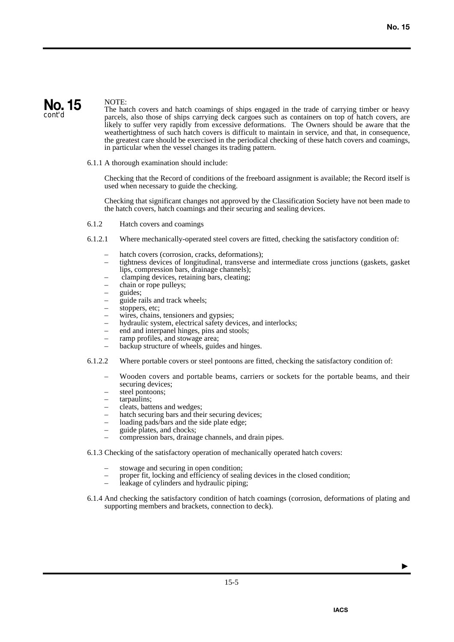

### NOTE:

The hatch covers and hatch coamings of ships engaged in the trade of carrying timber or heavy parcels, also those of ships carrying deck cargoes such as containers on top of hatch covers, are likely to suffer very rapidly from excessive deformations. The Owners should be aware that the weathertightness of such hatch covers is difficult to maintain in service, and that, in consequence, the greatest care should be exercised in the periodical checking of these hatch covers and coamings, in particular when the vessel changes its trading pattern.

6.1.1 A thorough examination should include:

Checking that the Record of conditions of the freeboard assignment is available; the Record itself is used when necessary to guide the checking.

Checking that significant changes not approved by the Classification Society have not been made to the hatch covers, hatch coamings and their securing and sealing devices.

- 6.1.2 Hatch covers and coamings
- 6.1.2.1 Where mechanically-operated steel covers are fitted, checking the satisfactory condition of:
	- hatch covers (corrosion, cracks, deformations);
	- tightness devices of longitudinal, transverse and intermediate cross junctions (gaskets, gasket lips, compression bars, drainage channels);
	- clamping devices, retaining bars, cleating;
	- chain or rope pulleys;
	- guides;
	- guide rails and track wheels;
	- stoppers, etc;
	- wires, chains, tensioners and gypsies;
	- hydraulic system, electrical safety devices, and interlocks;
	- end and interpanel hinges, pins and stools;
	- ramp profiles, and stowage area;
	- backup structure of wheels, guides and hinges.
- 6.1.2.2 Where portable covers or steel pontoons are fitted, checking the satisfactory condition of:
	- Wooden covers and portable beams, carriers or sockets for the portable beams, and their securing devices;
	- steel pontoons;
	- tarpaulins;
	- cleats, battens and wedges;
	- hatch securing bars and their securing devices;
	- loading pads/bars and the side plate edge;
	- guide plates, and chocks;
	- compression bars, drainage channels, and drain pipes.
- 6.1.3 Checking of the satisfactory operation of mechanically operated hatch covers:
	- stowage and securing in open condition;
	- proper fit, locking and efficiency of sealing devices in the closed condition;
	- leakage of cylinders and hydraulic piping;
- 6.1.4 And checking the satisfactory condition of hatch coamings (corrosion, deformations of plating and supporting members and brackets, connection to deck).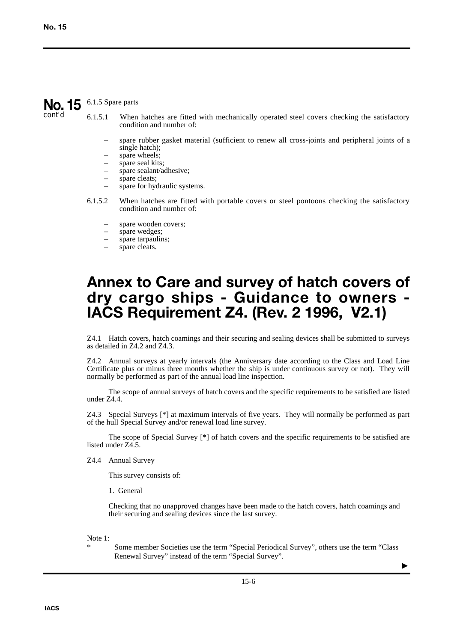# No. 15 6.1.5 Spare parts

cont'd

- 6.1.5.1 When hatches are fitted with mechanically operated steel covers checking the satisfactory condition and number of:
	- spare rubber gasket material (sufficient to renew all cross-joints and peripheral joints of a single hatch);
	- spare wheels;
	- spare seal kits;
	- spare sealant/adhesive;
	- spare cleats:
	- spare for hydraulic systems.
- 6.1.5.2 When hatches are fitted with portable covers or steel pontoons checking the satisfactory condition and number of:
	- spare wooden covers;
	- spare wedges;
	- spare tarpaulins;
	- spare cleats.

### **Annex to Care and survey of hatch covers of dry cargo ships - Guidance to owners - IACS Requirement Z4. (Rev. 2 1996, V2.1)**

Z4.1 Hatch covers, hatch coamings and their securing and sealing devices shall be submitted to surveys as detailed in Z4.2 and Z4.3.

Z4.2 Annual surveys at yearly intervals (the Anniversary date according to the Class and Load Line Certificate plus or minus three months whether the ship is under continuous survey or not). They will normally be performed as part of the annual load line inspection.

The scope of annual surveys of hatch covers and the specific requirements to be satisfied are listed under Z4.4.

Z4.3 Special Surveys [\*] at maximum intervals of five years. They will normally be performed as part of the hull Special Survey and/or renewal load line survey.

The scope of Special Survey [\*] of hatch covers and the specific requirements to be satisfied are listed under Z4.5.

Z4.4 Annual Survey

This survey consists of:

1. General

Checking that no unapproved changes have been made to the hatch covers, hatch coamings and their securing and sealing devices since the last survey.

Note 1:

Some member Societies use the term "Special Periodical Survey", others use the term "Class" Renewal Survey" instead of the term "Special Survey".

 $\blacktriangleright$